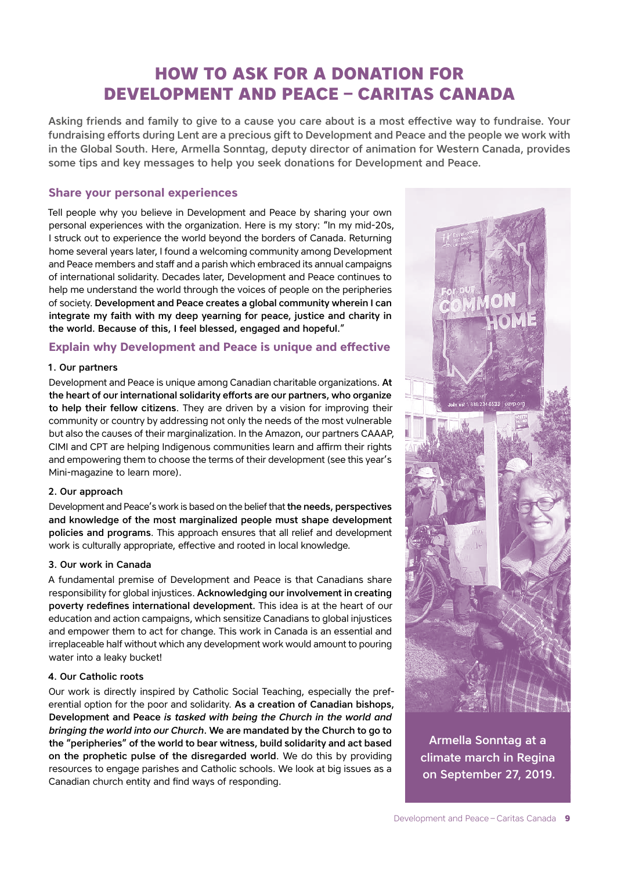# **HOW TO ASK FOR A DONATION FOR DEVELOPMENT AND PEACE – CARITAS CANADA**

Asking friends and family to give to a cause you care about is a most effective way to fundraise. Your fundraising efforts during Lent are a precious gift to Development and Peace and the people we work with in the Global South. Here, Armella Sonntag, deputy director of animation for Western Canada, provides some tips and key messages to help you seek donations for Development and Peace.

### **Share your personal experiences**

Tell people why you believe in Development and Peace by sharing your own personal experiences with the organization. Here is my story: "In my mid-20s, I struck out to experience the world beyond the borders of Canada. Returning home several years later, I found a welcoming community among Development and Peace members and staff and a parish which embraced its annual campaigns of international solidarity. Decades later, Development and Peace continues to help me understand the world through the voices of people on the peripheries of society. Development and Peace creates a global community wherein I can integrate my faith with my deep yearning for peace, justice and charity in the world. Because of this, I feel blessed, engaged and hopeful."

### **Explain why Development and Peace is unique and effective**

#### 1. Our partners

Development and Peace is unique among Canadian charitable organizations. At the heart of our international solidarity efforts are our partners, who organize to help their fellow citizens. They are driven by a vision for improving their community or country by addressing not only the needs of the most vulnerable but also the causes of their marginalization. In the Amazon, our partners CAAAP, CIMI and CPT are helping Indigenous communities learn and affirm their rights and empowering them to choose the terms of their development (see this year's Mini-magazine to learn more).

#### 2. Our approach

Development and Peace's work is based on the belief that the needs, perspectives and knowledge of the most marginalized people must shape development policies and programs. This approach ensures that all relief and development work is culturally appropriate, effective and rooted in local knowledge.

#### 3. Our work in Canada

A fundamental premise of Development and Peace is that Canadians share responsibility for global injustices. Acknowledging our involvement in creating poverty redefines international development. This idea is at the heart of our education and action campaigns, which sensitize Canadians to global injustices and empower them to act for change. This work in Canada is an essential and irreplaceable half without which any development work would amount to pouring water into a leaky bucket!

#### 4. Our Catholic roots

Our work is directly inspired by Catholic Social Teaching, especially the preferential option for the poor and solidarity. As a creation of Canadian bishops, Development and Peace *is tasked with being the Church in the world and bringing the world into our Church*. We are mandated by the Church to go to the "peripheries" of the world to bear witness, build solidarity and act based on the prophetic pulse of the disregarded world. We do this by providing resources to engage parishes and Catholic schools. We look at big issues as a Canadian church entity and find ways of responding.



Armella Sonntag at a climate march in Regina on September 27, 2019.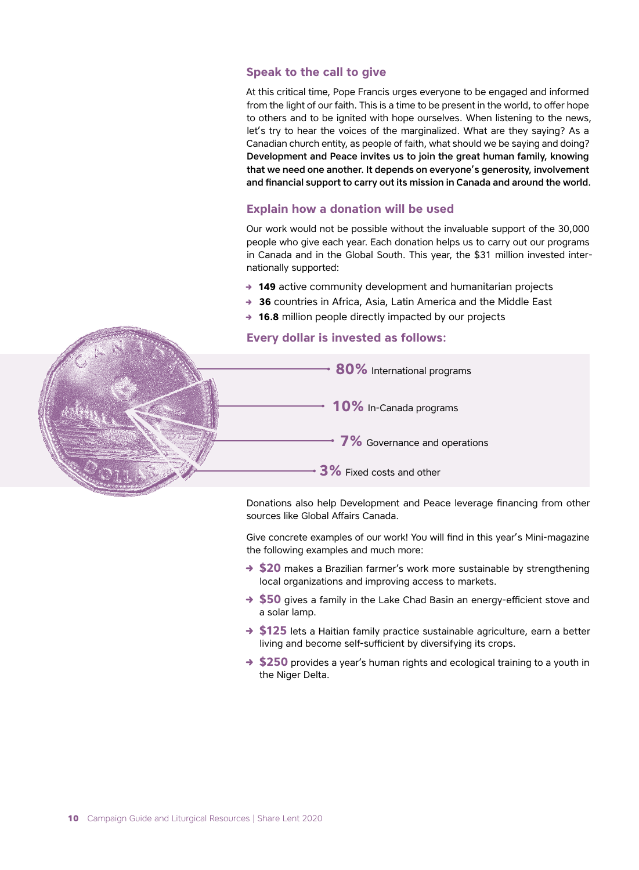#### **Speak to the call to give**

At this critical time, Pope Francis urges everyone to be engaged and informed from the light of our faith. This is a time to be present in the world, to offer hope to others and to be ignited with hope ourselves. When listening to the news, let's try to hear the voices of the marginalized. What are they saying? As a Canadian church entity, as people of faith, what should we be saying and doing? Development and Peace invites us to join the great human family, knowing that we need one another. It depends on everyone's generosity, involvement and financial support to carry out its mission in Canada and around the world.

#### **Explain how a donation will be used**

Our work would not be possible without the invaluable support of the 30,000 people who give each year. Each donation helps us to carry out our programs in Canada and in the Global South. This year, the \$31 million invested internationally supported:

- **→ 149** active community development and humanitarian projects
- → **36** countries in Africa, Asia, Latin America and the Middle East
- → **16.8** million people directly impacted by our projects

#### **Every dollar is invested as follows:**



Donations also help Development and Peace leverage financing from other sources like Global Affairs Canada.

Give concrete examples of our work! You will find in this year's Mini-magazine the following examples and much more:

- → \$20 makes a Brazilian farmer's work more sustainable by strengthening local organizations and improving access to markets.
- → \$50 gives a family in the Lake Chad Basin an energy-efficient stove and a solar lamp.
- → \$125 lets a Haitian family practice sustainable agriculture, earn a better living and become self-sufficient by diversifying its crops.
- → \$250 provides a year's human rights and ecological training to a youth in the Niger Delta.